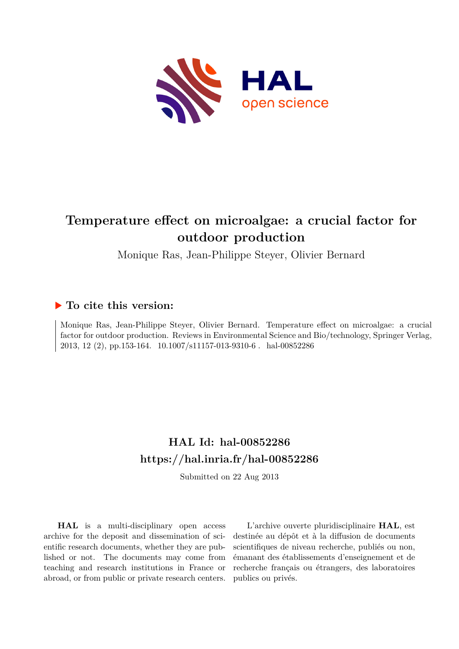

# **Temperature effect on microalgae: a crucial factor for outdoor production**

Monique Ras, Jean-Philippe Steyer, Olivier Bernard

# **To cite this version:**

Monique Ras, Jean-Philippe Steyer, Olivier Bernard. Temperature effect on microalgae: a crucial factor for outdoor production. Reviews in Environmental Science and Bio/technology, Springer Verlag, 2013, 12 (2), pp.153-164. 10.1007/s11157-013-9310-6. hal-00852286

# **HAL Id: hal-00852286 <https://hal.inria.fr/hal-00852286>**

Submitted on 22 Aug 2013

**HAL** is a multi-disciplinary open access archive for the deposit and dissemination of scientific research documents, whether they are published or not. The documents may come from teaching and research institutions in France or abroad, or from public or private research centers.

L'archive ouverte pluridisciplinaire **HAL**, est destinée au dépôt et à la diffusion de documents scientifiques de niveau recherche, publiés ou non, émanant des établissements d'enseignement et de recherche français ou étrangers, des laboratoires publics ou privés.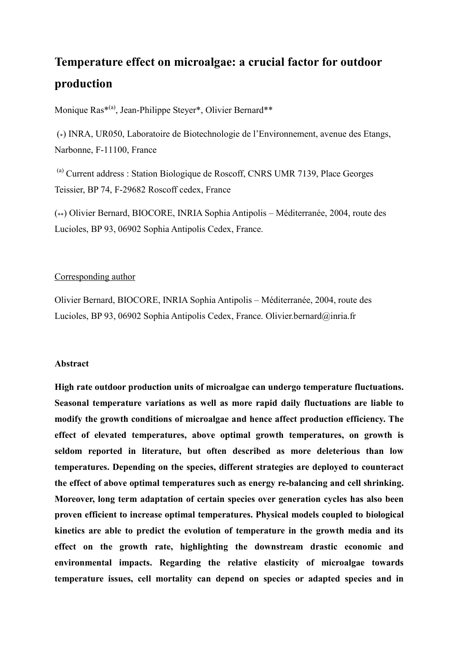# Temperature effect on microalgae: a crucial factor for outdoor production

Monique Ras\*<sup>(a)</sup>, Jean-Philippe Steyer\*, Olivier Bernard\*\*

(\*) INRA, UR050, Laboratoire de Biotechnologie de l'Environnement, avenue des Etangs, Narbonne, F-11100, France

<sup>(a)</sup> Current address : Station Biologique de Roscoff, CNRS UMR 7139, Place Georges Teissier, BP 74, F-29682 Roscoff cedex, France

(\*\*) Olivier Bernard, BIOCORE, INRIA Sophia Antipolis – Méditerranée, 2004, route des Lucioles, BP 93, 06902 Sophia Antipolis Cedex, France.

## Corresponding author

Olivier Bernard, BIOCORE, INRIA Sophia Antipolis – Méditerranée, 2004, route des Lucioles, BP 93, 06902 Sophia Antipolis Cedex, France. Olivier.bernard@inria.fr

#### **Abstract**

High rate outdoor production units of microalgae can undergo temperature fluctuations. Seasonal temperature variations as well as more rapid daily fluctuations are liable to modify the growth conditions of microalgae and hence affect production efficiency. The effect of elevated temperatures, above optimal growth temperatures, on growth is seldom reported in literature, but often described as more deleterious than low temperatures. Depending on the species, different strategies are deployed to counteract the effect of above optimal temperatures such as energy re-balancing and cell shrinking. Moreover, long term adaptation of certain species over generation cycles has also been proven efficient to increase optimal temperatures. Physical models coupled to biological kinetics are able to predict the evolution of temperature in the growth media and its effect on the growth rate, highlighting the downstream drastic economic and environmental impacts. Regarding the relative elasticity of microalgae towards temperature issues, cell mortality can depend on species or adapted species and in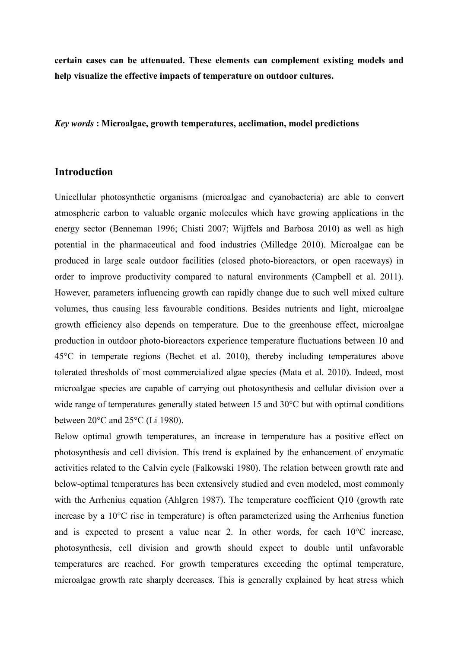certain cases can be attenuated. These elements can complement existing models and help visualize the effective impacts of temperature on outdoor cultures.

Key words: Microalgae, growth temperatures, acclimation, model predictions

#### **Introduction**

Unicellular photosynthetic organisms (microalgae and cyanobacteria) are able to convert atmospheric carbon to valuable organic molecules which have growing applications in the energy sector (Benneman 1996; Chisti 2007; Wijffels and Barbosa 2010) as well as high potential in the pharmaceutical and food industries (Milledge 2010). Microalgae can be produced in large scale outdoor facilities (closed photo-bioreactors, or open raceways) in order to improve productivity compared to natural environments (Campbell et al. 2011). However, parameters influencing growth can rapidly change due to such well mixed culture volumes, thus causing less favourable conditions. Besides nutrients and light, microalgae growth efficiency also depends on temperature. Due to the greenhouse effect, microalgae production in outdoor photo-bioreactors experience temperature fluctuations between 10 and  $45^{\circ}$ C in temperate regions (Bechet et al. 2010), thereby including temperatures above tolerated thresholds of most commercialized algae species (Mata et al. 2010). Indeed, most microalgae species are capable of carrying out photosynthesis and cellular division over a wide range of temperatures generally stated between 15 and  $30^{\circ}$ C but with optimal conditions between  $20^{\circ}$ C and  $25^{\circ}$ C (Li 1980).

Below optimal growth temperatures, an increase in temperature has a positive effect on photosynthesis and cell division. This trend is explained by the enhancement of enzymatic activities related to the Calvin cycle (Falkowski 1980). The relation between growth rate and below-optimal temperatures has been extensively studied and even modeled, most commonly with the Arrhenius equation (Ahlgren 1987). The temperature coefficient  $Q10$  (growth rate increase by a  $10^{\circ}$ C rise in temperature) is often parameterized using the Arrhenius function and is expected to present a value near 2. In other words, for each  $10^{\circ}$ C increase, photosynthesis, cell division and growth should expect to double until unfavorable temperatures are reached. For growth temperatures exceeding the optimal temperature, microalgae growth rate sharply decreases. This is generally explained by heat stress which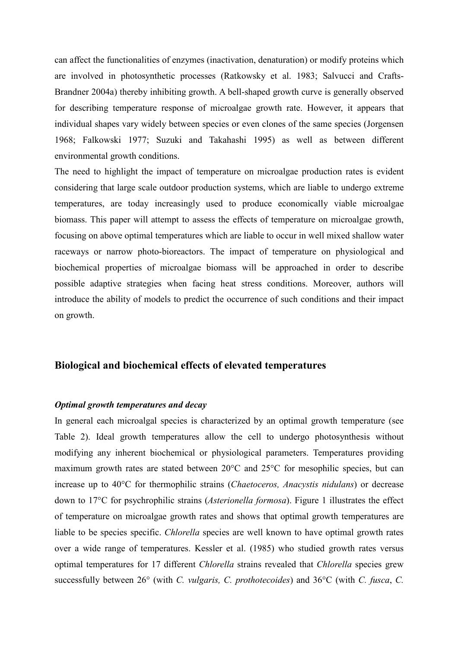can affect the functionalities of enzymes (inactivation, denaturation) or modify proteins which are involved in photosynthetic processes (Ratkowsky et al. 1983; Salvucci and Crafts-Brandner 2004a) thereby inhibiting growth. A bell-shaped growth curve is generally observed for describing temperature response of microalgae growth rate. However, it appears that individual shapes vary widely between species or even clones of the same species (Jorgensen 1968; Falkowski 1977; Suzuki and Takahashi 1995) as well as between different environmental growth conditions.

The need to highlight the impact of temperature on microalgae production rates is evident considering that large scale outdoor production systems, which are liable to undergo extreme temperatures, are today increasingly used to produce economically viable microalgae biomass. This paper will attempt to assess the effects of temperature on microalgae growth, focusing on above optimal temperatures which are liable to occur in well mixed shallow water raceways or narrow photo-bioreactors. The impact of temperature on physiological and biochemical properties of microalgae biomass will be approached in order to describe possible adaptive strategies when facing heat stress conditions. Moreover, authors will introduce the ability of models to predict the occurrence of such conditions and their impact on growth.

## Biological and biochemical effects of elevated temperatures

#### Optimal growth temperatures and decay

In general each microalgal species is characterized by an optimal growth temperature (see Table 2). Ideal growth temperatures allow the cell to undergo photosynthesis without modifying any inherent biochemical or physiological parameters. Temperatures providing maximum growth rates are stated between 20°C and 25°C for mesophilic species, but can increase up to 40°C for thermophilic strains (Chaetoceros, Anacystis nidulans) or decrease down to 17<sup>o</sup>C for psychrophilic strains (*Asterionella formosa*). Figure 1 illustrates the effect of temperature on microalgae growth rates and shows that optimal growth temperatures are liable to be species specific. *Chlorella* species are well known to have optimal growth rates over a wide range of temperatures. Kessler et al. (1985) who studied growth rates versus optimal temperatures for 17 different Chlorella strains revealed that Chlorella species grew successfully between 26° (with C. vulgaris, C. prothotecoides) and 36°C (with C. fusca, C.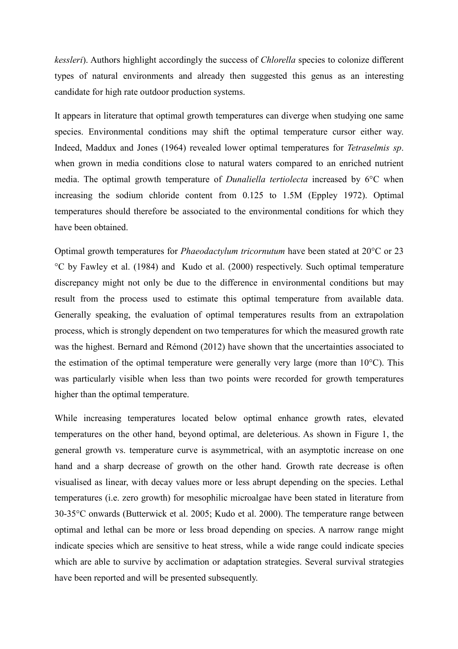kessleri). Authors highlight accordingly the success of *Chlorella* species to colonize different types of natural environments and already then suggested this genus as an interesting candidate for high rate outdoor production systems.

It appears in literature that optimal growth temperatures can diverge when studying one same species. Environmental conditions may shift the optimal temperature cursor either way. Indeed, Maddux and Jones (1964) revealed lower optimal temperatures for Tetraselmis sp. when grown in media conditions close to natural waters compared to an enriched nutrient media. The optimal growth temperature of *Dunaliella tertiolecta* increased by 6<sup>o</sup>C when increasing the sodium chloride content from 0.125 to 1.5M (Eppley 1972). Optimal temperatures should therefore be associated to the environmental conditions for which they have been obtained

Optimal growth temperatures for *Phaeodactylum tricornutum* have been stated at 20<sup>o</sup>C or 23 °C by Fawley et al. (1984) and Kudo et al. (2000) respectively. Such optimal temperature discrepancy might not only be due to the difference in environmental conditions but may result from the process used to estimate this optimal temperature from available data. Generally speaking, the evaluation of optimal temperatures results from an extrapolation process, which is strongly dependent on two temperatures for which the measured growth rate was the highest. Bernard and Rémond (2012) have shown that the uncertainties associated to the estimation of the optimal temperature were generally very large (more than  $10^{\circ}$ C). This was particularly visible when less than two points were recorded for growth temperatures higher than the optimal temperature.

While increasing temperatures located below optimal enhance growth rates, elevated temperatures on the other hand, beyond optimal, are deleterious. As shown in Figure 1, the general growth vs. temperature curve is asymmetrical, with an asymptotic increase on one hand and a sharp decrease of growth on the other hand. Growth rate decrease is often visualised as linear, with decay values more or less abrupt depending on the species. Lethal temperatures (i.e. zero growth) for mesophilic microalgae have been stated in literature from 30-35 °C onwards (Butterwick et al. 2005; Kudo et al. 2000). The temperature range between optimal and lethal can be more or less broad depending on species. A narrow range might indicate species which are sensitive to heat stress, while a wide range could indicate species which are able to survive by acclimation or adaptation strategies. Several survival strategies have been reported and will be presented subsequently.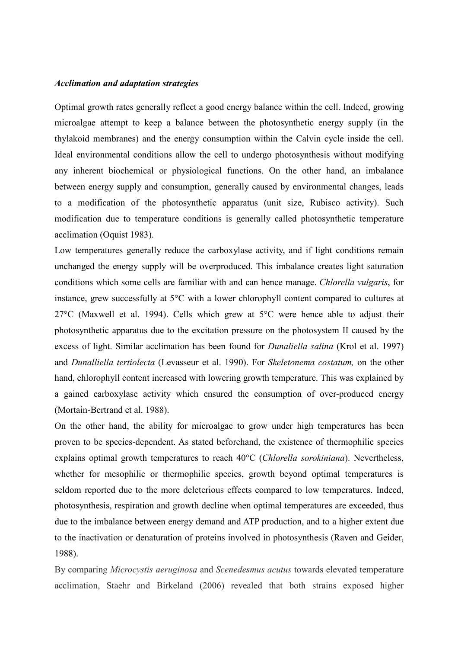#### **Acclimation and adaptation strategies**

Optimal growth rates generally reflect a good energy balance within the cell. Indeed, growing microalgae attempt to keep a balance between the photosynthetic energy supply (in the thylakoid membranes) and the energy consumption within the Calvin cycle inside the cell. Ideal environmental conditions allow the cell to undergo photosynthesis without modifying any inherent biochemical or physiological functions. On the other hand, an imbalance between energy supply and consumption, generally caused by environmental changes, leads to a modification of the photosynthetic apparatus (unit size, Rubisco activity). Such modification due to temperature conditions is generally called photosynthetic temperature acclimation (Oquist 1983).

Low temperatures generally reduce the carboxylase activity, and if light conditions remain unchanged the energy supply will be overproduced. This imbalance creates light saturation conditions which some cells are familiar with and can hence manage. Chlorella vulgaris, for instance, grew successfully at 5°C with a lower chlorophyll content compared to cultures at 27<sup>o</sup>C (Maxwell et al. 1994). Cells which grew at  $5^{\circ}$ C were hence able to adjust their photosynthetic apparatus due to the excitation pressure on the photosystem II caused by the excess of light. Similar acclimation has been found for *Dunaliella salina* (Krol et al. 1997) and Dunalliella tertiolecta (Levasseur et al. 1990). For Skeletonema costatum, on the other hand, chlorophyll content increased with lowering growth temperature. This was explained by a gained carboxylase activity which ensured the consumption of over-produced energy (Mortain-Bertrand et al. 1988).

On the other hand, the ability for microalgae to grow under high temperatures has been proven to be species-dependent. As stated beforehand, the existence of thermophilic species explains optimal growth temperatures to reach 40°C (Chlorella sorokiniana). Nevertheless, whether for mesophilic or thermophilic species, growth beyond optimal temperatures is seldom reported due to the more deleterious effects compared to low temperatures. Indeed, photosynthesis, respiration and growth decline when optimal temperatures are exceeded, thus due to the imbalance between energy demand and ATP production, and to a higher extent due to the inactivation or denaturation of proteins involved in photosynthesis (Raven and Geider, 1988).

By comparing *Microcystis aeruginosa* and *Scenedesmus acutus* towards elevated temperature acclimation, Staehr and Birkeland (2006) revealed that both strains exposed higher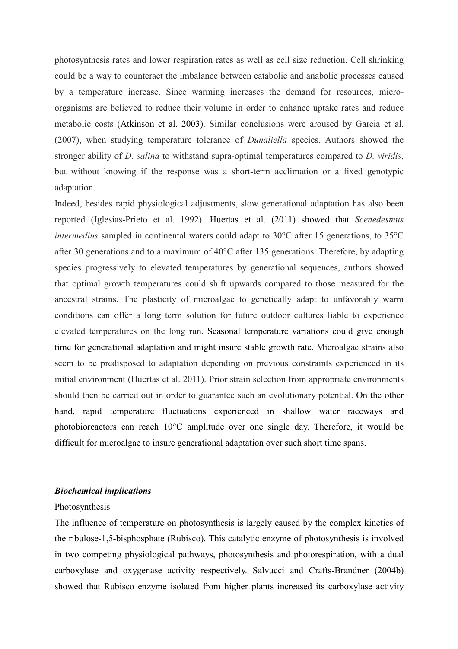photosynthesis rates and lower respiration rates as well as cell size reduction. Cell shrinking could be a way to counteract the imbalance between catabolic and anabolic processes caused by a temperature increase. Since warming increases the demand for resources, microorganisms are believed to reduce their volume in order to enhance uptake rates and reduce metabolic costs (Atkinson et al. 2003). Similar conclusions were aroused by Garcia et al. (2007), when studying temperature tolerance of *Dunaliella* species. Authors showed the stronger ability of *D. salina* to withstand supra-optimal temperatures compared to *D. viridis*, but without knowing if the response was a short-term acclimation or a fixed genotypic adaptation.

Indeed, besides rapid physiological adjustments, slow generational adaptation has also been reported (Iglesias-Prieto et al. 1992). Huertas et al. (2011) showed that Scenedesmus *intermedius* sampled in continental waters could adapt to  $30^{\circ}$ C after 15 generations, to  $35^{\circ}$ C after 30 generations and to a maximum of  $40^{\circ}$ C after 135 generations. Therefore, by adapting species progressively to elevated temperatures by generational sequences, authors showed that optimal growth temperatures could shift upwards compared to those measured for the ancestral strains. The plasticity of microalgae to genetically adapt to unfavorably warm conditions can offer a long term solution for future outdoor cultures liable to experience elevated temperatures on the long run. Seasonal temperature variations could give enough time for generational adaptation and might insure stable growth rate. Microalgae strains also seem to be predisposed to adaptation depending on previous constraints experienced in its initial environment (Huertas et al. 2011). Prior strain selection from appropriate environments should then be carried out in order to guarantee such an evolutionary potential. On the other hand, rapid temperature fluctuations experienced in shallow water raceways and photobioreactors can reach 10°C amplitude over one single day. Therefore, it would be difficult for microalgae to insure generational adaptation over such short time spans.

#### **Biochemical implications**

#### Photosynthesis

The influence of temperature on photosynthesis is largely caused by the complex kinetics of the ribulose-1,5-bisphosphate (Rubisco). This catalytic enzyme of photosynthesis is involved in two competing physiological pathways, photosynthesis and photorespiration, with a dual carboxylase and oxygenese activity respectively. Salvucci and Crafts-Brandner (2004b) showed that Rubisco enzyme isolated from higher plants increased its carboxylase activity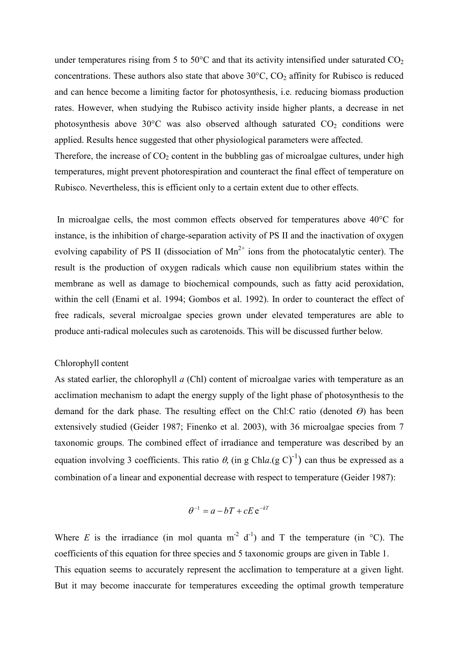under temperatures rising from 5 to 50 $\degree$ C and that its activity intensified under saturated CO<sub>2</sub> concentrations. These authors also state that above  $30^{\circ}$ C, CO<sub>2</sub> affinity for Rubisco is reduced and can hence become a limiting factor for photosynthesis, *i.e.* reducing biomass production rates. However, when studying the Rubisco activity inside higher plants, a decrease in net photosynthesis above  $30^{\circ}$ C was also observed although saturated  $CO<sub>2</sub>$  conditions were applied. Results hence suggested that other physiological parameters were affected.

Therefore, the increase of  $CO<sub>2</sub>$  content in the bubbling gas of microalgae cultures, under high temperatures, might prevent photorespiration and counteract the final effect of temperature on Rubisco. Nevertheless, this is efficient only to a certain extent due to other effects.

In microalgae cells, the most common effects observed for temperatures above  $40^{\circ}$ C for instance, is the inhibition of charge-separation activity of PS II and the inactivation of oxygen evolving capability of PS II (dissociation of  $Mn^{2+}$  ions from the photocatalytic center). The result is the production of oxygen radicals which cause non equilibrium states within the membrane as well as damage to biochemical compounds, such as fatty acid peroxidation, within the cell (Enami et al. 1994; Gombos et al. 1992). In order to counteract the effect of free radicals, several microalgae species grown under elevated temperatures are able to produce anti-radical molecules such as carotenoids. This will be discussed further below.

#### Chlorophyll content

As stated earlier, the chlorophyll  $a$  (Chl) content of microalgae varies with temperature as an acclimation mechanism to adapt the energy supply of the light phase of photosynthesis to the demand for the dark phase. The resulting effect on the Chl:C ratio (denoted  $\Theta$ ) has been extensively studied (Geider 1987; Finenko et al. 2003), with 36 microalgae species from 7 taxonomic groups. The combined effect of irradiance and temperature was described by an equation involving 3 coefficients. This ratio  $\theta$ , (in g Chla (g C)<sup>-1</sup>) can thus be expressed as a combination of a linear and exponential decrease with respect to temperature (Geider 1987):

$$
\theta^{-1} = a - bT + cE e^{-kT}
$$

Where E is the irradiance (in mol quanta  $m^2$  d<sup>-1</sup>) and T the temperature (in  $\degree$ C). The coefficients of this equation for three species and 5 taxonomic groups are given in Table 1. This equation seems to accurately represent the acclimation to temperature at a given light. But it may become inaccurate for temperatures exceeding the optimal growth temperature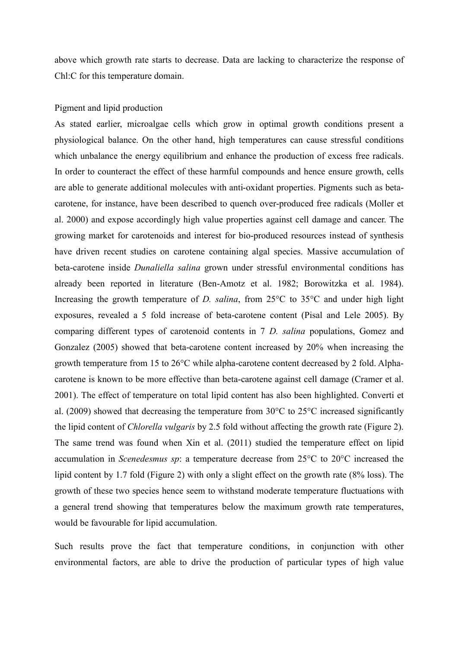above which growth rate starts to decrease. Data are lacking to characterize the response of Chl:C for this temperature domain.

#### Pigment and lipid production

As stated earlier, microalgae cells which grow in optimal growth conditions present a physiological balance. On the other hand, high temperatures can cause stressful conditions which unbalance the energy equilibrium and enhance the production of excess free radicals. In order to counteract the effect of these harmful compounds and hence ensure growth, cells are able to generate additional molecules with anti-oxidant properties. Pigments such as betacarotene, for instance, have been described to quench over-produced free radicals (Moller et al. 2000) and expose accordingly high value properties against cell damage and cancer. The growing market for carotenoids and interest for bio-produced resources instead of synthesis have driven recent studies on carotene containing algal species. Massive accumulation of beta-carotene inside *Dunaliella salina* grown under stressful environmental conditions has already been reported in literature (Ben-Amotz et al. 1982; Borowitzka et al. 1984). Increasing the growth temperature of *D. salina*, from  $25^{\circ}$ C to  $35^{\circ}$ C and under high light exposures, revealed a 5 fold increase of beta-carotene content (Pisal and Lele 2005). By comparing different types of carotenoid contents in 7 D. salina populations, Gomez and Gonzalez (2005) showed that beta-carotene content increased by 20% when increasing the growth temperature from 15 to 26<sup>o</sup>C while alpha-carotene content decreased by 2 fold. Alphacarotene is known to be more effective than beta-carotene against cell damage (Cramer et al. 2001). The effect of temperature on total lipid content has also been highlighted. Converti et al. (2009) showed that decreasing the temperature from  $30^{\circ}$ C to  $25^{\circ}$ C increased significantly the lipid content of *Chlorella vulgaris* by 2.5 fold without affecting the growth rate (Figure 2). The same trend was found when Xin et al. (2011) studied the temperature effect on lipid accumulation in Scenedesmus sp: a temperature decrease from  $25^{\circ}$ C to  $20^{\circ}$ C increased the lipid content by 1.7 fold (Figure 2) with only a slight effect on the growth rate (8% loss). The growth of these two species hence seem to withstand moderate temperature fluctuations with a general trend showing that temperatures below the maximum growth rate temperatures, would be favourable for lipid accumulation.

Such results prove the fact that temperature conditions, in conjunction with other environmental factors, are able to drive the production of particular types of high value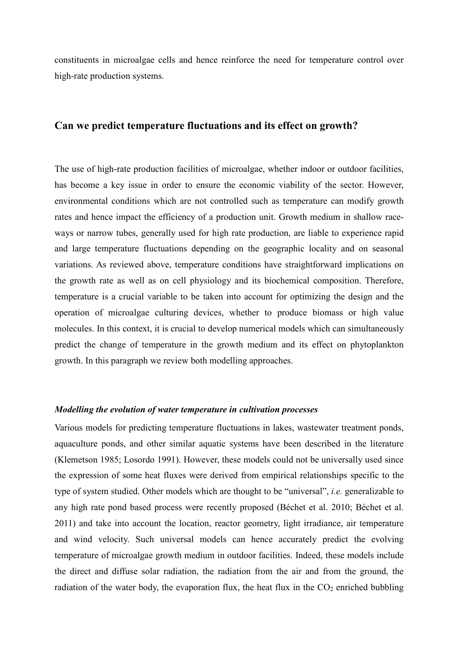constituents in microalgae cells and hence reinforce the need for temperature control over high-rate production systems.

# Can we predict temperature fluctuations and its effect on growth?

The use of high-rate production facilities of microalgae, whether indoor or outdoor facilities, has become a key issue in order to ensure the economic viability of the sector. However, environmental conditions which are not controlled such as temperature can modify growth rates and hence impact the efficiency of a production unit. Growth medium in shallow raceways or narrow tubes, generally used for high rate production, are liable to experience rapid and large temperature fluctuations depending on the geographic locality and on seasonal variations. As reviewed above, temperature conditions have straightforward implications on the growth rate as well as on cell physiology and its biochemical composition. Therefore, temperature is a crucial variable to be taken into account for optimizing the design and the operation of microalgae culturing devices, whether to produce biomass or high value molecules. In this context, it is crucial to develop numerical models which can simultaneously predict the change of temperature in the growth medium and its effect on phytoplankton growth. In this paragraph we review both modelling approaches.

#### Modelling the evolution of water temperature in cultivation processes

Various models for predicting temperature fluctuations in lakes, wastewater treatment ponds, aquaculture ponds, and other similar aquatic systems have been described in the literature (Klemetson 1985; Losordo 1991). However, these models could not be universally used since the expression of some heat fluxes were derived from empirical relationships specific to the type of system studied. Other models which are thought to be "universal", *i.e.* generalizable to any high rate pond based process were recently proposed (Béchet et al. 2010; Béchet et al. 2011) and take into account the location, reactor geometry, light irradiance, air temperature and wind velocity. Such universal models can hence accurately predict the evolving temperature of microalgae growth medium in outdoor facilities. Indeed, these models include the direct and diffuse solar radiation, the radiation from the air and from the ground, the radiation of the water body, the evaporation flux, the heat flux in the  $CO<sub>2</sub>$  enriched bubbling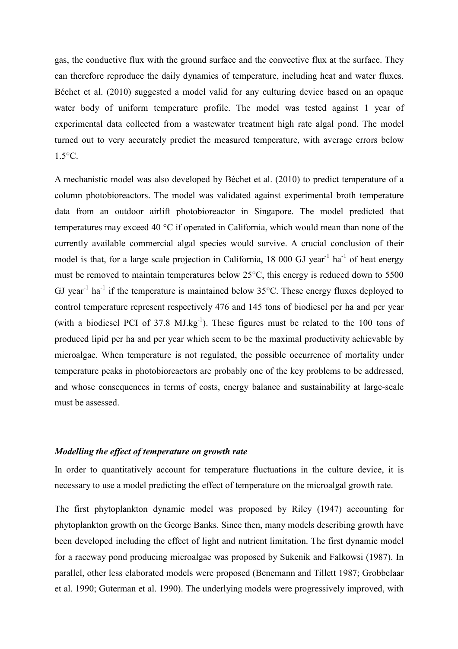gas, the conductive flux with the ground surface and the convective flux at the surface. They can therefore reproduce the daily dynamics of temperature, including heat and water fluxes. Béchet et al. (2010) suggested a model valid for any culturing device based on an opaque water body of uniform temperature profile. The model was tested against 1 year of experimental data collected from a wastewater treatment high rate algal pond. The model turned out to very accurately predict the measured temperature, with average errors below  $1.5^{\circ}$ C.

A mechanistic model was also developed by Béchet et al. (2010) to predict temperature of a column photobioreactors. The model was validated against experimental broth temperature data from an outdoor airlift photobioreactor in Singapore. The model predicted that temperatures may exceed 40 °C if operated in California, which would mean than none of the currently available commercial algal species would survive. A crucial conclusion of their model is that, for a large scale projection in California, 18 000 GJ year<sup>-1</sup> ha<sup>-1</sup> of heat energy must be removed to maintain temperatures below 25°C, this energy is reduced down to 5500 GJ vear<sup>-1</sup> ha<sup>-1</sup> if the temperature is maintained below 35 $^{\circ}$ C. These energy fluxes deployed to control temperature represent respectively 476 and 145 tons of biodiesel per ha and per year (with a biodiesel PCI of 37.8  $MJ.kg^{-1}$ ). These figures must be related to the 100 tons of produced lipid per ha and per year which seem to be the maximal productivity achievable by microalgae. When temperature is not regulated, the possible occurrence of mortality under temperature peaks in photobioreactors are probably one of the key problems to be addressed, and whose consequences in terms of costs, energy balance and sustainability at large-scale must be assessed

## Modelling the effect of temperature on growth rate

In order to quantitatively account for temperature fluctuations in the culture device, it is necessary to use a model predicting the effect of temperature on the microalgal growth rate.

The first phytoplankton dynamic model was proposed by Riley (1947) accounting for phytoplankton growth on the George Banks. Since then, many models describing growth have been developed including the effect of light and nutrient limitation. The first dynamic model for a raceway pond producing microalgae was proposed by Sukenik and Falkowsi (1987). In parallel, other less elaborated models were proposed (Benemann and Tillett 1987; Grobbelaar et al. 1990; Guterman et al. 1990). The underlying models were progressively improved, with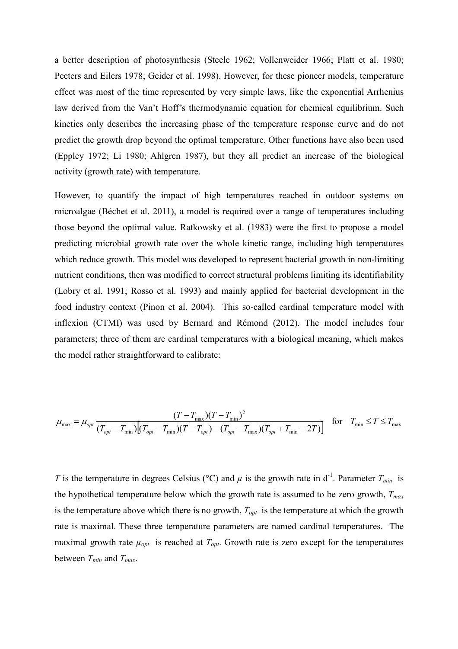a better description of photosynthesis (Steele 1962; Vollenweider 1966; Platt et al. 1980; Peeters and Eilers 1978; Geider et al. 1998). However, for these pioneer models, temperature effect was most of the time represented by very simple laws, like the exponential Arrhenius law derived from the Van't Hoff's thermodynamic equation for chemical equilibrium. Such kinetics only describes the increasing phase of the temperature response curve and do not predict the growth drop beyond the optimal temperature. Other functions have also been used (Eppley 1972; Li 1980; Ahlgren 1987), but they all predict an increase of the biological activity (growth rate) with temperature.

However, to quantify the impact of high temperatures reached in outdoor systems on microalgae (Béchet et al. 2011), a model is required over a range of temperatures including those beyond the optimal value. Ratkowsky et al. (1983) were the first to propose a model predicting microbial growth rate over the whole kinetic range, including high temperatures which reduce growth. This model was developed to represent bacterial growth in non-limiting nutrient conditions, then was modified to correct structural problems limiting its identifiability (Lobry et al. 1991; Rosso et al. 1993) and mainly applied for bacterial development in the food industry context (Pinon et al. 2004). This so-called cardinal temperature model with inflexion (CTMI) was used by Bernard and Rémond (2012). The model includes four parameters; three of them are cardinal temperatures with a biological meaning, which makes the model rather straightforward to calibrate:

$$
\mu_{\max} = \mu_{opt} \frac{(T - T_{\max})(T - T_{\min})^2}{(T_{opt} - T_{\min})[(T_{opt} - T_{\min})(T - T_{opt}) - (T_{opt} - T_{\max})(T_{opt} + T_{\min} - 2T)]} \quad \text{for} \quad T_{\min} \le T \le T_{\max}
$$

T is the temperature in degrees Celsius (°C) and  $\mu$  is the growth rate in d<sup>-1</sup>. Parameter  $T_{min}$  is the hypothetical temperature below which the growth rate is assumed to be zero growth,  $T_{max}$ is the temperature above which there is no growth,  $T_{opt}$  is the temperature at which the growth rate is maximal. These three temperature parameters are named cardinal temperatures. The maximal growth rate  $\mu_{opt}$  is reached at  $T_{opt}$ . Growth rate is zero except for the temperatures between  $T_{min}$  and  $T_{max}$ .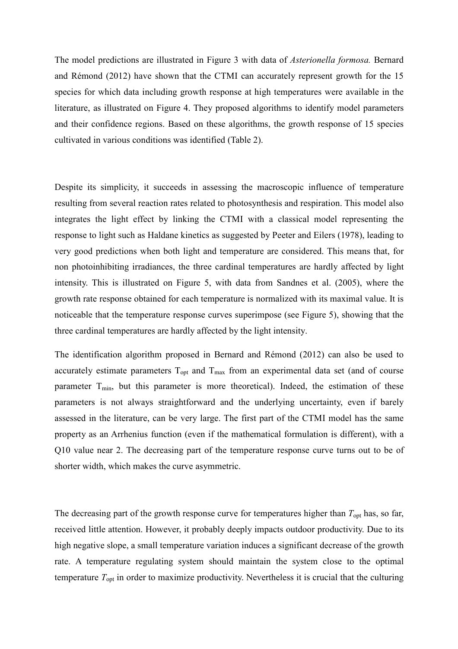The model predictions are illustrated in Figure 3 with data of *Asterionella formosa*. Bernard and Rémond (2012) have shown that the CTMI can accurately represent growth for the 15 species for which data including growth response at high temperatures were available in the literature, as illustrated on Figure 4. They proposed algorithms to identify model parameters and their confidence regions. Based on these algorithms, the growth response of 15 species cultivated in various conditions was identified (Table 2).

Despite its simplicity, it succeeds in assessing the macroscopic influence of temperature resulting from several reaction rates related to photosynthesis and respiration. This model also integrates the light effect by linking the CTMI with a classical model representing the response to light such as Haldane kinetics as suggested by Peeter and Eilers (1978), leading to very good predictions when both light and temperature are considered. This means that, for non photoinhibiting irradiances, the three cardinal temperatures are hardly affected by light intensity. This is illustrated on Figure 5, with data from Sandnes et al. (2005), where the growth rate response obtained for each temperature is normalized with its maximal value. It is noticeable that the temperature response curves superimpose (see Figure 5), showing that the three cardinal temperatures are hardly affected by the light intensity.

The identification algorithm proposed in Bernard and Rémond (2012) can also be used to accurately estimate parameters  $T_{opt}$  and  $T_{max}$  from an experimental data set (and of course parameter  $T_{min}$ , but this parameter is more theoretical). Indeed, the estimation of these parameters is not always straightforward and the underlying uncertainty, even if barely assessed in the literature, can be very large. The first part of the CTMI model has the same property as an Arrhenius function (even if the mathematical formulation is different), with a Q10 value near 2. The decreasing part of the temperature response curve turns out to be of shorter width, which makes the curve asymmetric.

The decreasing part of the growth response curve for temperatures higher than  $T_{opt}$  has, so far, received little attention. However, it probably deeply impacts outdoor productivity. Due to its high negative slope, a small temperature variation induces a significant decrease of the growth rate. A temperature regulating system should maintain the system close to the optimal temperature  $T_{\text{opt}}$  in order to maximize productivity. Nevertheless it is crucial that the culturing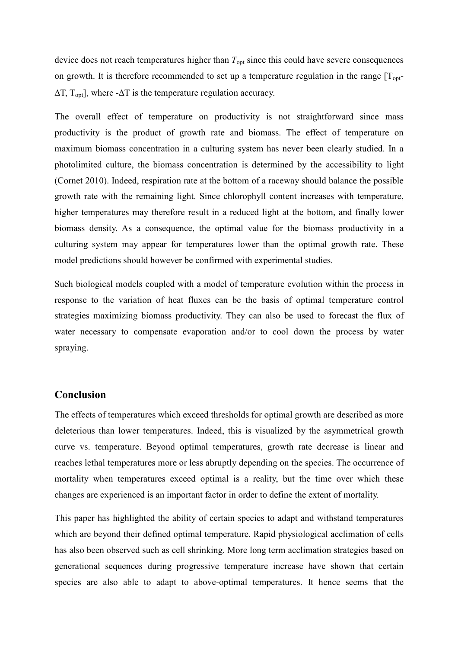device does not reach temperatures higher than  $T_{opt}$  since this could have severe consequences on growth. It is therefore recommended to set up a temperature regulation in the range  $[T_{\text{out}}]$  $\Delta T$ ,  $T_{opt}$ ], where - $\Delta T$  is the temperature regulation accuracy.

The overall effect of temperature on productivity is not straightforward since mass productivity is the product of growth rate and biomass. The effect of temperature on maximum biomass concentration in a culturing system has never been clearly studied. In a photolimited culture, the biomass concentration is determined by the accessibility to light (Cornet 2010). Indeed, respiration rate at the bottom of a raceway should balance the possible growth rate with the remaining light. Since chlorophyll content increases with temperature, higher temperatures may therefore result in a reduced light at the bottom, and finally lower biomass density. As a consequence, the optimal value for the biomass productivity in a culturing system may appear for temperatures lower than the optimal growth rate. These model predictions should however be confirmed with experimental studies.

Such biological models coupled with a model of temperature evolution within the process in response to the variation of heat fluxes can be the basis of optimal temperature control strategies maximizing biomass productivity. They can also be used to forecast the flux of water necessary to compensate evaporation and/or to cool down the process by water spraying.

# **Conclusion**

The effects of temperatures which exceed thresholds for optimal growth are described as more deleterious than lower temperatures. Indeed, this is visualized by the asymmetrical growth curve vs. temperature. Beyond optimal temperatures, growth rate decrease is linear and reaches lethal temperatures more or less abruptly depending on the species. The occurrence of mortality when temperatures exceed optimal is a reality, but the time over which these changes are experienced is an important factor in order to define the extent of mortality.

This paper has highlighted the ability of certain species to adapt and withstand temperatures which are beyond their defined optimal temperature. Rapid physiological acclimation of cells has also been observed such as cell shrinking. More long term acclimation strategies based on generational sequences during progressive temperature increase have shown that certain species are also able to adapt to above-optimal temperatures. It hence seems that the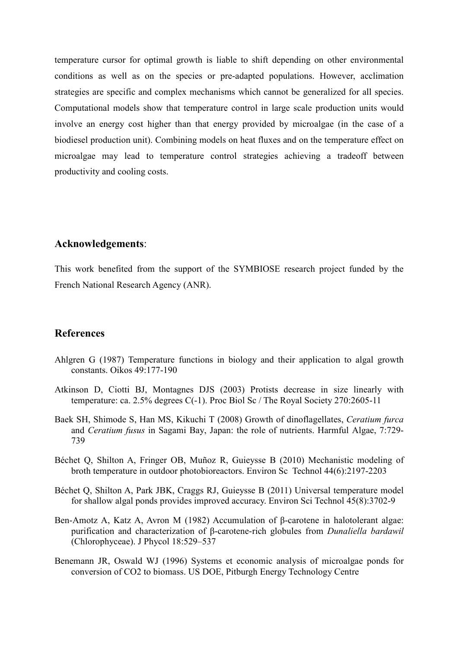temperature cursor for optimal growth is liable to shift depending on other environmental conditions as well as on the species or pre-adapted populations. However, acclimation strategies are specific and complex mechanisms which cannot be generalized for all species. Computational models show that temperature control in large scale production units would involve an energy cost higher than that energy provided by microalgae (in the case of a biodiesel production unit). Combining models on heat fluxes and on the temperature effect on microalgae may lead to temperature control strategies achieving a tradeoff between productivity and cooling costs.

# Acknowledgements:

This work benefited from the support of the SYMBIOSE research project funded by the French National Research Agency (ANR).

# **References**

- Ahlgren G (1987) Temperature functions in biology and their application to algal growth constants. Oikos 49:177-190
- Atkinson D, Ciotti BJ, Montagnes DJS (2003) Protists decrease in size linearly with temperature: ca. 2.5% degrees  $C(-1)$ . Proc Biol Sc / The Royal Society 270:2605-11
- Baek SH, Shimode S, Han MS, Kikuchi T (2008) Growth of dinoflagellates, Ceratium furca and Ceratium fusus in Sagami Bay, Japan: the role of nutrients. Harmful Algae, 7:729-739
- Béchet Q, Shilton A, Fringer OB, Muñoz R, Guieysse B (2010) Mechanistic modeling of broth temperature in outdoor photobioreactors. Environ Sc Technol 44(6):2197-2203
- Béchet Q, Shilton A, Park JBK, Craggs RJ, Guieysse B (2011) Universal temperature model for shallow algal ponds provides improved accuracy. Environ Sci Technol 45(8):3702-9
- Ben-Amotz A, Katz A, Avron M (1982) Accumulation of β-carotene in halotolerant algae: purification and characterization of β-carotene-rich globules from Dunaliella bardawil (Chlorophyceae). J Phycol 18:529–537
- Benemann JR, Oswald WJ (1996) Systems et economic analysis of microalgae ponds for conversion of CO2 to biomass. US DOE, Pitburgh Energy Technology Centre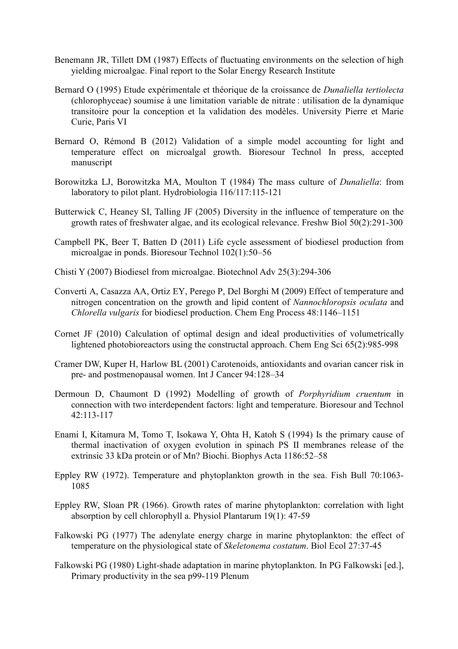- Benemann JR, Tillett DM (1987) Effects of fluctuating environments on the selection of high vielding microalgae. Final report to the Solar Energy Research Institute
- Bernard O (1995) Etude expérimentale et théorique de la croissance de *Dunaliella tertiolecta* (chlorophyceae) soumise à une limitation variable de nitrate : utilisation de la dynamique transitoire pour la conception et la validation des modèles. University Pierre et Marie Curie, Paris VI
- Bernard O, Rémond B (2012) Validation of a simple model accounting for light and temperature effect on microalgal growth. Bioresour Technol In press, accepted manuscript
- Borowitzka LJ, Borowitzka MA, Moulton T (1984) The mass culture of *Dunaliella*: from laboratory to pilot plant. Hydrobiologia 116/117:115-121
- Butterwick C, Heaney SI, Talling JF (2005) Diversity in the influence of temperature on the growth rates of freshwater algae, and its ecological relevance. Freshw Biol 50(2):291-300
- Campbell PK, Beer T, Batten D (2011) Life cycle assessment of biodiesel production from microalgae in ponds. Bioresour Technol  $102(1)$ :50–56
- Chisti Y (2007) Biodiesel from microalgae. Biotechnol Adv 25(3):294-306
- Converti A. Casazza AA, Ortiz EY, Perego P. Del Borghi M (2009) Effect of temperature and nitrogen concentration on the growth and lipid content of Nannochloropsis oculata and Chlorella vulgaris for biodiesel production. Chem Eng Process 48:1146-1151
- Cornet JF (2010) Calculation of optimal design and ideal productivities of volumetrically lightened photobioreactors using the constructal approach. Chem Eng Sci 65(2):985-998
- Cramer DW, Kuper H, Harlow BL (2001) Carotenoids, antioxidants and ovarian cancer risk in pre- and postmenopausal women. Int J Cancer 94:128-34
- Dermoun D, Chaumont D (1992) Modelling of growth of *Porphyridium cruentum* in connection with two interdependent factors: light and temperature. Bioresour and Technol  $42:113-117$
- Enami I, Kitamura M, Tomo T, Isokawa Y, Ohta H, Katoh S (1994) Is the primary cause of thermal inactivation of oxygen evolution in spinach PS II membranes release of the extrinsic 33 kDa protein or of Mn? Biochi. Biophys Acta 1186:52–58
- Eppley RW (1972). Temperature and phytoplankton growth in the sea. Fish Bull 70:1063-1085
- Eppley RW, Sloan PR (1966). Growth rates of marine phytoplankton: correlation with light absorption by cell chlorophyll a. Physiol Plantarum 19(1): 47-59
- Falkowski PG (1977) The adenylate energy charge in marine phytoplankton: the effect of temperature on the physiological state of *Skeletonema costatum*. Biol Ecol 27:37-45
- Falkowski PG (1980) Light-shade adaptation in marine phytoplankton. In PG Falkowski [ed.], Primary productivity in the sea p99-119 Plenum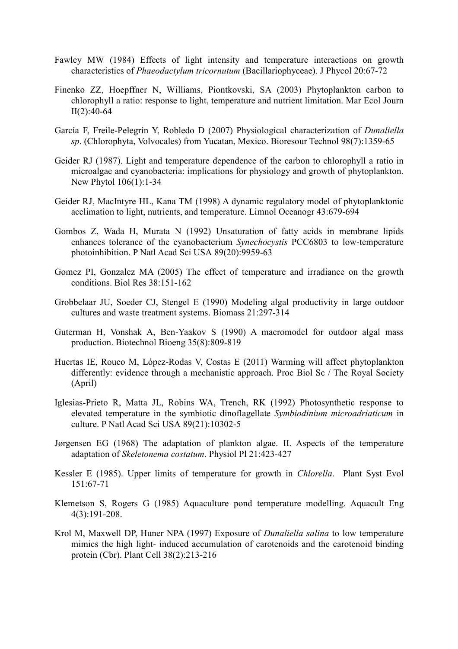- Fawley MW (1984) Effects of light intensity and temperature interactions on growth characteristics of *Phaeodactylum tricornutum* (Bacillariophyceae). J Phycol 20:67-72
- Finenko ZZ, Hoepffner N, Williams, Piontkovski, SA (2003) Phytoplankton carbon to chlorophyll a ratio: response to light, temperature and nutrient limitation. Mar Ecol Journ  $II(2):40-64$
- García F, Freile-Pelegrín Y, Robledo D (2007) Physiological characterization of *Dunaliella* sp. (Chlorophyta, Volvocales) from Yucatan, Mexico. Bioresour Technol 98(7):1359-65
- Geider RJ (1987). Light and temperature dependence of the carbon to chlorophyll a ratio in microalgae and cyanobacteria: implications for physiology and growth of phytoplankton. New Phytol 106(1):1-34
- Geider RJ, MacIntyre HL, Kana TM (1998) A dynamic regulatory model of phytoplanktonic acclimation to light, nutrients, and temperature. Limnol Oceanogr 43:679-694
- Gombos Z, Wada H, Murata N (1992) Unsaturation of fatty acids in membrane lipids enhances tolerance of the cyanobacterium Synechocystis PCC6803 to low-temperature photoinhibition. P Natl Acad Sci USA 89(20):9959-63
- Gomez PI, Gonzalez MA (2005) The effect of temperature and irradiance on the growth conditions. Biol Res 38:151-162
- Grobbelaar JU, Soeder CJ, Stengel E (1990) Modeling algal productivity in large outdoor cultures and waste treatment systems. Biomass 21:297-314
- Guterman H, Vonshak A, Ben-Yaakov S (1990) A macromodel for outdoor algal mass production. Biotechnol Bioeng 35(8):809-819
- Huertas IE, Rouco M, López-Rodas V, Costas E (2011) Warming will affect phytoplankton differently: evidence through a mechanistic approach. Proc Biol Sc / The Royal Society (April)
- Iglesias-Prieto R, Matta JL, Robins WA, Trench, RK (1992) Photosynthetic response to elevated temperature in the symbiotic dinoflagellate Symbiodinium microadriaticum in culture. P Natl Acad Sci USA 89(21):10302-5
- Jørgensen EG (1968) The adaptation of plankton algae. II. Aspects of the temperature adaptation of Skeletonema costatum. Physiol Pl 21:423-427
- Kessler E (1985). Upper limits of temperature for growth in *Chlorella*. Plant Syst Evol 151:67-71
- Klemetson S. Rogers G (1985) Aquaculture pond temperature modelling. Aquacult Eng  $4(3):191-208.$
- Krol M, Maxwell DP, Huner NPA (1997) Exposure of *Dunaliella salina* to low temperature mimics the high light- induced accumulation of carotenoids and the carotenoid binding protein (Cbr). Plant Cell 38(2):213-216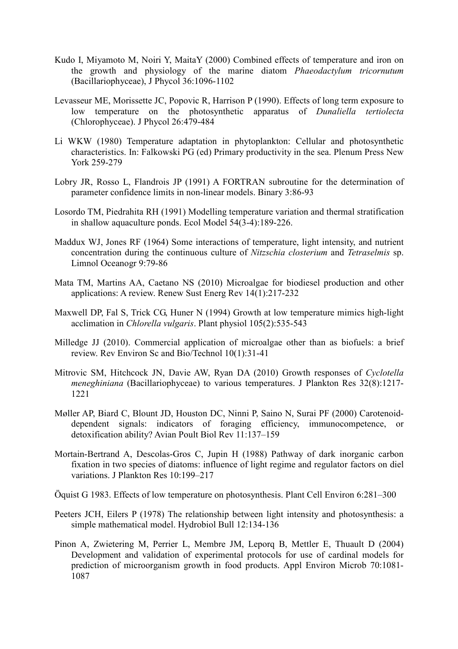- Kudo I, Miyamoto M, Noiri Y, MaitaY (2000) Combined effects of temperature and iron on the growth and physiology of the marine diatom *Phaeodactylum tricornutum* (Bacillariophyceae), J Phycol 36:1096-1102
- Levasseur ME, Morissette JC, Popovic R, Harrison P (1990). Effects of long term exposure to low temperature on the photosynthetic apparatus of *Dunaliella tertiolecta* (Chlorophyceae). J Phycol 26:479-484
- Li WKW (1980) Temperature adaptation in phytoplankton: Cellular and photosynthetic characteristics. In: Falkowski PG (ed) Primary productivity in the sea. Plenum Press New York 259-279
- Lobry JR, Rosso L, Flandrois JP (1991) A FORTRAN subroutine for the determination of parameter confidence limits in non-linear models. Binary 3:86-93
- Losordo TM, Piedrahita RH (1991) Modelling temperature variation and thermal stratification in shallow aquaculture ponds. Ecol Model 54(3-4):189-226.
- Maddux WJ, Jones RF (1964) Some interactions of temperature, light intensity, and nutrient concentration during the continuous culture of Nitzschia closterium and Tetraselmis sp. Limnol Oceanogr 9:79-86
- Mata TM, Martins AA, Caetano NS (2010) Microalgae for biodiesel production and other applications: A review. Renew Sust Energ Rev 14(1):217-232
- Maxwell DP, Fal S, Trick CG, Huner N (1994) Growth at low temperature mimics high-light acclimation in Chlorella vulgaris. Plant physiol 105(2):535-543
- Milledge JJ (2010). Commercial application of microalgae other than as biofuels: a brief review. Rev Environ Sc and Bio/Technol 10(1):31-41
- Mitrovic SM, Hitchcock JN, Davie AW, Ryan DA (2010) Growth responses of Cyclotella *meneghiniana* (Bacillariophyceae) to various temperatures. J Plankton Res 32(8):1217-1221
- Møller AP, Biard C, Blount JD, Houston DC, Ninni P, Saino N, Surai PF (2000) Carotenoiddependent signals: indicators of foraging efficiency, immunocompetence, detoxification ability? Avian Poult Biol Rev 11:137-159
- Mortain-Bertrand A, Descolas-Gros C, Jupin H (1988) Pathway of dark inorganic carbon fixation in two species of diatoms: influence of light regime and regulator factors on diel variations. J Plankton Res 10:199-217
- Öquist G 1983. Effects of low temperature on photosynthesis. Plant Cell Environ 6:281–300
- Peeters JCH, Eilers P (1978) The relationship between light intensity and photosynthesis: a simple mathematical model. Hydrobiol Bull 12:134-136
- Pinon A, Zwietering M, Perrier L, Membre JM, Leporq B, Mettler E, Thuault D (2004) Development and validation of experimental protocols for use of cardinal models for prediction of microorganism growth in food products. Appl Environ Microb 70:1081-1087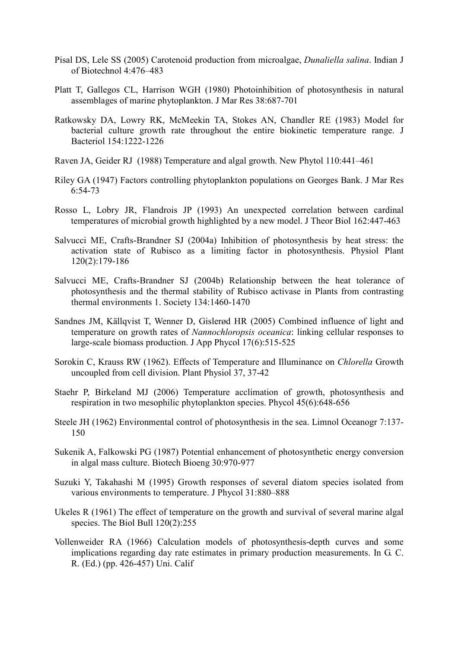- Pisal DS, Lele SS (2005) Carotenoid production from microalgae, *Dunaliella salina*. Indian J of Biotechnol 4:476-483
- Platt T, Gallegos CL, Harrison WGH (1980) Photoinhibition of photosynthesis in natural assemblages of marine phytoplankton. J Mar Res 38:687-701
- Ratkowsky DA, Lowry RK, McMeekin TA, Stokes AN, Chandler RE (1983) Model for bacterial culture growth rate throughout the entire biokinetic temperature range. J Bacteriol 154:1222-1226
- Raven JA, Geider RJ (1988) Temperature and algal growth. New Phytol 110:441–461
- Riley GA (1947) Factors controlling phytoplankton populations on Georges Bank. J Mar Res  $6:54-73$
- Rosso L, Lobry JR, Flandrois JP (1993) An unexpected correlation between cardinal temperatures of microbial growth highlighted by a new model. J Theor Biol 162:447-463
- Salvucci ME, Crafts-Brandner SJ (2004a) Inhibition of photosynthesis by heat stress: the activation state of Rubisco as a limiting factor in photosynthesis. Physiol Plant  $120(2):179-186$
- Salvucci ME, Crafts-Brandner SJ (2004b) Relationship between the heat tolerance of photosynthesis and the thermal stability of Rubisco activase in Plants from contrasting thermal environments 1. Society 134:1460-1470
- Sandnes JM, Källqvist T, Wenner D, Gislerød HR (2005) Combined influence of light and temperature on growth rates of Nannochloropsis oceanica: linking cellular responses to large-scale biomass production. J App Phycol 17(6):515-525
- Sorokin C, Krauss RW (1962). Effects of Temperature and Illuminance on Chlorella Growth uncoupled from cell division. Plant Physiol 37, 37-42
- Staehr P, Birkeland MJ (2006) Temperature acclimation of growth, photosynthesis and respiration in two mesophilic phytoplankton species. Phycol 45(6):648-656
- Steele JH (1962) Environmental control of photosynthesis in the sea. Limnol Oceanogr 7:137-150
- Sukenik A, Falkowski PG (1987) Potential enhancement of photosynthetic energy conversion in algal mass culture. Biotech Bioeng 30:970-977
- Suzuki Y, Takahashi M (1995) Growth responses of several diatom species isolated from various environments to temperature. J Phycol 31:880-888
- Ukeles R (1961) The effect of temperature on the growth and survival of several marine algal species. The Biol Bull  $120(2)$ :255
- Vollenweider RA (1966) Calculation models of photosynthesis-depth curves and some implications regarding day rate estimates in primary production measurements. In G. C. R. (Ed.) (pp. 426-457) Uni. Calif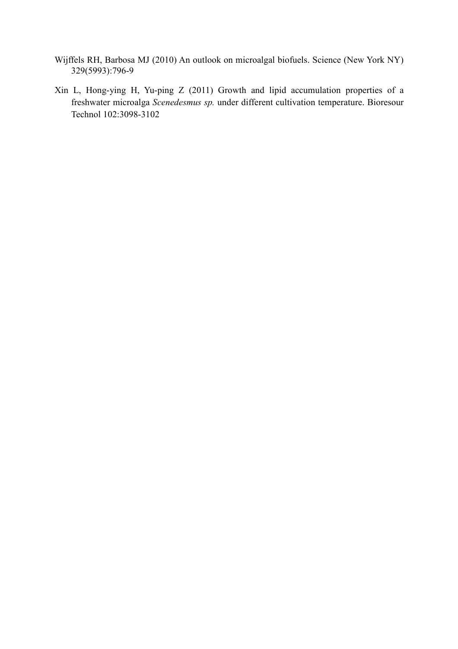- Wijffels RH, Barbosa MJ (2010) An outlook on microalgal biofuels. Science (New York NY) 329(5993):796-9
- Xin L, Hong-ying H, Yu-ping Z (2011) Growth and lipid accumulation properties of a freshwater microalga Scenedesmus sp. under different cultivation temperature. Bioresour Technol 102:3098-3102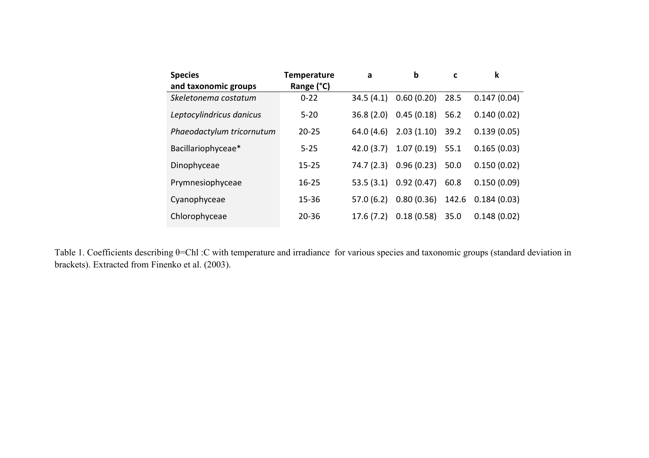| <b>Species</b>            | <b>Temperature</b> | a          | $\mathbf b$ | C     | k           |
|---------------------------|--------------------|------------|-------------|-------|-------------|
| and taxonomic groups      | Range (°C)         |            |             |       |             |
| Skeletonema costatum      | $0 - 22$           | 34.5(4.1)  | 0.60(0.20)  | 28.5  | 0.147(0.04) |
| Leptocylindricus danicus  | $5 - 20$           | 36.8(2.0)  | 0.45(0.18)  | 56.2  | 0.140(0.02) |
| Phaeodactylum tricornutum | $20 - 25$          | 64.0(4.6)  | 2.03(1.10)  | 39.2  | 0.139(0.05) |
| Bacillariophyceae*        | $5 - 25$           | 42.0(3.7)  | 1.07(0.19)  | 55.1  | 0.165(0.03) |
| Dinophyceae               | $15 - 25$          | 74.7 (2.3) | 0.96(0.23)  | 50.0  | 0.150(0.02) |
| Prymnesiophyceae          | $16 - 25$          | 53.5(3.1)  | 0.92(0.47)  | 60.8  | 0.150(0.09) |
| Cyanophyceae              | $15 - 36$          | 57.0(6.2)  | 0.80(0.36)  | 142.6 | 0.184(0.03) |
| Chlorophyceae             | $20 - 36$          | 17.6(7.2)  | 0.18(0.58)  | 35.0  | 0.148(0.02) |

Table 1. Coefficients describing  $\theta$ =Chl :C with temperature and irradiance for various species and taxonomic groups (standard deviation in brackets). Extracted from Finenko et al. (2003).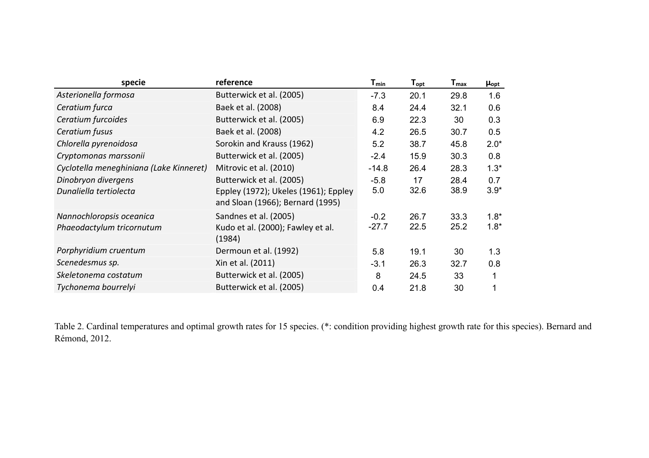| specie                                  | reference                                                                | $T_{min}$ | $\mathsf{T}_{\mathsf{opt}}$ | $\mathsf{T}_{\mathsf{max}}$ | $\mu_{\text{opt}}$ |
|-----------------------------------------|--------------------------------------------------------------------------|-----------|-----------------------------|-----------------------------|--------------------|
| Asterionella formosa                    | Butterwick et al. (2005)                                                 | $-7.3$    | 20.1                        | 29.8                        | 1.6                |
| Ceratium furca                          | Baek et al. (2008)                                                       | 8.4       | 24.4                        | 32.1                        | 0.6                |
| Ceratium furcoides                      | Butterwick et al. (2005)                                                 | 6.9       | 22.3                        | 30                          | 0.3                |
| Ceratium fusus                          | Baek et al. (2008)                                                       | 4.2       | 26.5                        | 30.7                        | 0.5                |
| Chlorella pyrenoidosa                   | Sorokin and Krauss (1962)                                                | 5.2       | 38.7                        | 45.8                        | $2.0*$             |
| Cryptomonas marssonii                   | Butterwick et al. (2005)                                                 | $-2.4$    | 15.9                        | 30.3                        | 0.8                |
| Cyclotella meneghiniana (Lake Kinneret) | Mitrovic et al. (2010)                                                   | $-14.8$   | 26.4                        | 28.3                        | $1.3*$             |
| Dinobryon divergens                     | Butterwick et al. (2005)                                                 | $-5.8$    | 17                          | 28.4                        | 0.7                |
| Dunaliella tertiolecta                  | Eppley (1972); Ukeles (1961); Eppley<br>and Sloan (1966); Bernard (1995) | 5.0       | 32.6                        | 38.9                        | $3.9*$             |
| Nannochloropsis oceanica                | Sandnes et al. (2005)                                                    | $-0.2$    | 26.7                        | 33.3                        | $1.8*$             |
| Phaeodactylum tricornutum               | Kudo et al. (2000); Fawley et al.<br>(1984)                              | $-27.7$   | 22.5                        | 25.2                        | $1.8*$             |
| Porphyridium cruentum                   | Dermoun et al. (1992)                                                    | 5.8       | 19.1                        | 30                          | 1.3                |
| Scenedesmus sp.                         | Xin et al. (2011)                                                        | $-3.1$    | 26.3                        | 32.7                        | 0.8                |
| Skeletonema costatum                    | Butterwick et al. (2005)                                                 | 8         | 24.5                        | 33                          | 1                  |
| Tychonema bourrelyi                     | Butterwick et al. (2005)                                                 | 0.4       | 21.8                        | 30                          |                    |

Table 2. Cardinal temperatures and optimal growth rates for 15 species. (\*: condition providing highest growth rate for this species). Bernard and Rémond, 2012.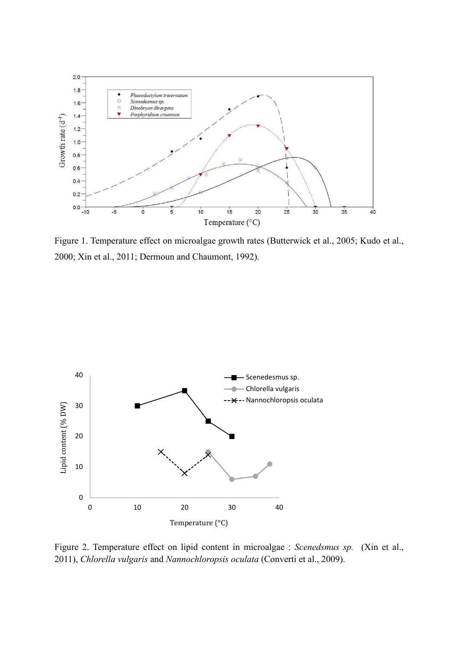

Figure 1. Temperature effect on microalgae growth rates (Butterwick et al., 2005; Kudo et al., 2000; Xin et al., 2011; Dermoun and Chaumont, 1992).



Figure 2. Temperature effect on lipid content in microalgae : Scenedsmus sp. (Xin et al., 2011), Chlorella vulgaris and Nannochloropsis oculata (Converti et al., 2009).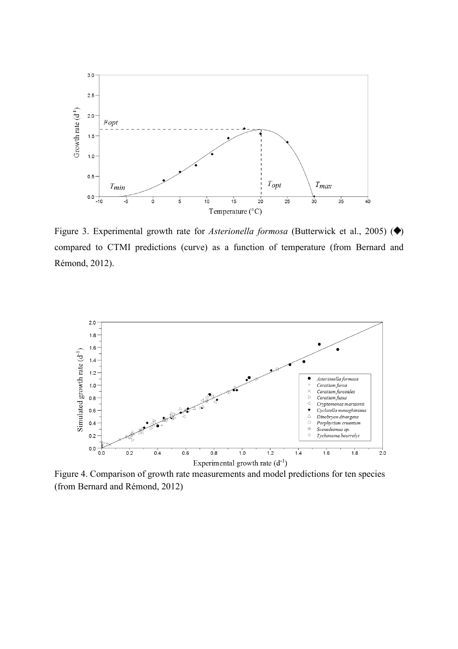

Figure 3. Experimental growth rate for *Asterionella formosa* (Butterwick et al., 2005) ( $\blacklozenge$ ) compared to CTMI predictions (curve) as a function of temperature (from Bernard and Rémond, 2012).



Figure 4. Comparison of growth rate measurements and model predictions for ten species (from Bernard and Rémond, 2012)